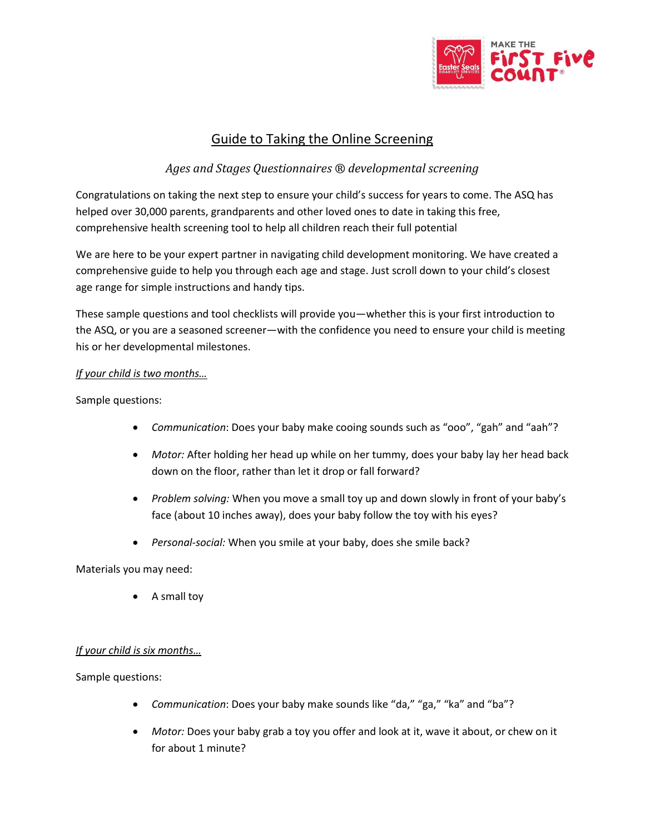

# Guide to Taking the Online Screening

## *Ages and Stages Questionnaires ® developmental screening*

Congratulations on taking the next step to ensure your child's success for years to come. The ASQ has helped over 30,000 parents, grandparents and other loved ones to date in taking this free, comprehensive health screening tool to help all children reach their full potential

We are here to be your expert partner in navigating child development monitoring. We have created a comprehensive guide to help you through each age and stage. Just scroll down to your child's closest age range for simple instructions and handy tips.

These sample questions and tool checklists will provide you—whether this is your first introduction to the ASQ, or you are a seasoned screener—with the confidence you need to ensure your child is meeting his or her developmental milestones.

## *If your child is two months…*

Sample questions:

- *Communication*: Does your baby make cooing sounds such as "ooo", "gah" and "aah"?
- *Motor:* After holding her head up while on her tummy, does your baby lay her head back down on the floor, rather than let it drop or fall forward?
- *Problem solving:* When you move a small toy up and down slowly in front of your baby's face (about 10 inches away), does your baby follow the toy with his eyes?
- *Personal-social:* When you smile at your baby, does she smile back?

Materials you may need:

A small toy

## *If your child is six months…*

Sample questions:

- *Communication*: Does your baby make sounds like "da," "ga," "ka" and "ba"?
- *Motor:* Does your baby grab a toy you offer and look at it, wave it about, or chew on it for about 1 minute?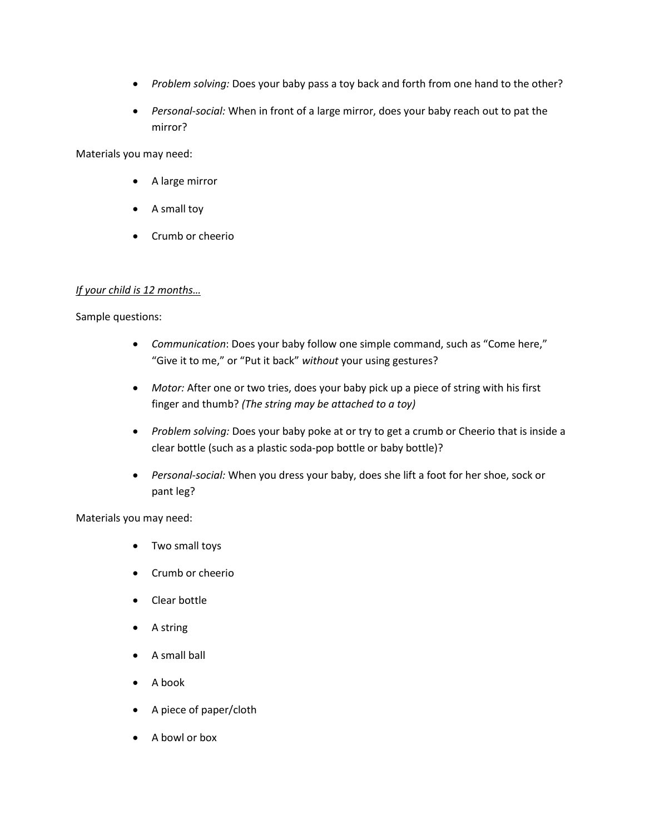- *Problem solving:* Does your baby pass a toy back and forth from one hand to the other?
- *Personal-social:* When in front of a large mirror, does your baby reach out to pat the mirror?

Materials you may need:

- A large mirror
- A small toy
- Crumb or cheerio

## *If your child is 12 months…*

Sample questions:

- *Communication*: Does your baby follow one simple command, such as "Come here," "Give it to me," or "Put it back" *without* your using gestures?
- *Motor:* After one or two tries, does your baby pick up a piece of string with his first finger and thumb? *(The string may be attached to a toy)*
- *Problem solving:* Does your baby poke at or try to get a crumb or Cheerio that is inside a clear bottle (such as a plastic soda-pop bottle or baby bottle)?
- *Personal-social:* When you dress your baby, does she lift a foot for her shoe, sock or pant leg?

- Two small toys
- Crumb or cheerio
- Clear bottle
- A string
- A small ball
- A book
- A piece of paper/cloth
- A bowl or box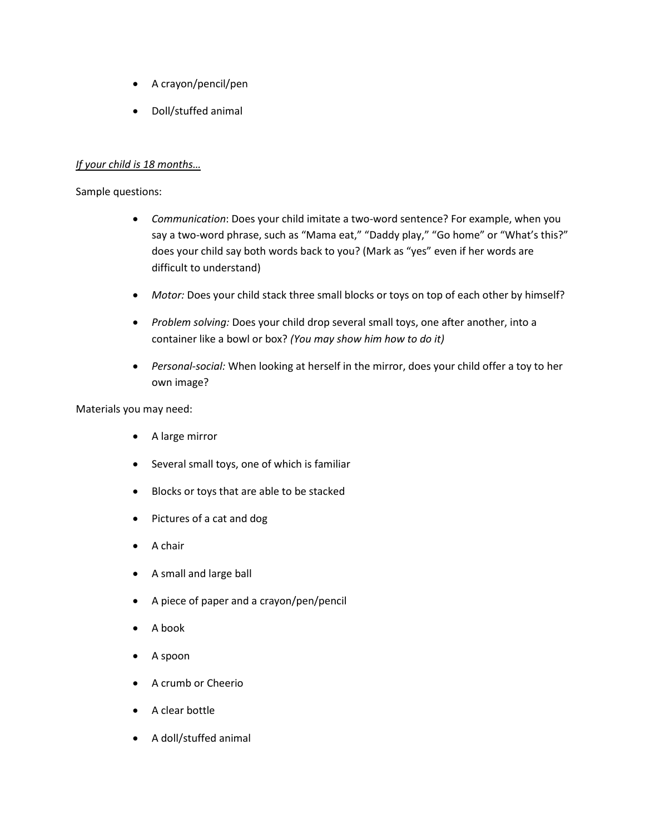- A crayon/pencil/pen
- Doll/stuffed animal

## *If your child is 18 months…*

#### Sample questions:

- *Communication*: Does your child imitate a two-word sentence? For example, when you say a two-word phrase, such as "Mama eat," "Daddy play," "Go home" or "What's this?" does your child say both words back to you? (Mark as "yes" even if her words are difficult to understand)
- *Motor:* Does your child stack three small blocks or toys on top of each other by himself?
- *Problem solving:* Does your child drop several small toys, one after another, into a container like a bowl or box? *(You may show him how to do it)*
- *Personal-social:* When looking at herself in the mirror, does your child offer a toy to her own image?

- A large mirror
- Several small toys, one of which is familiar
- Blocks or toys that are able to be stacked
- Pictures of a cat and dog
- A chair
- A small and large ball
- A piece of paper and a crayon/pen/pencil
- A book
- A spoon
- A crumb or Cheerio
- A clear bottle
- A doll/stuffed animal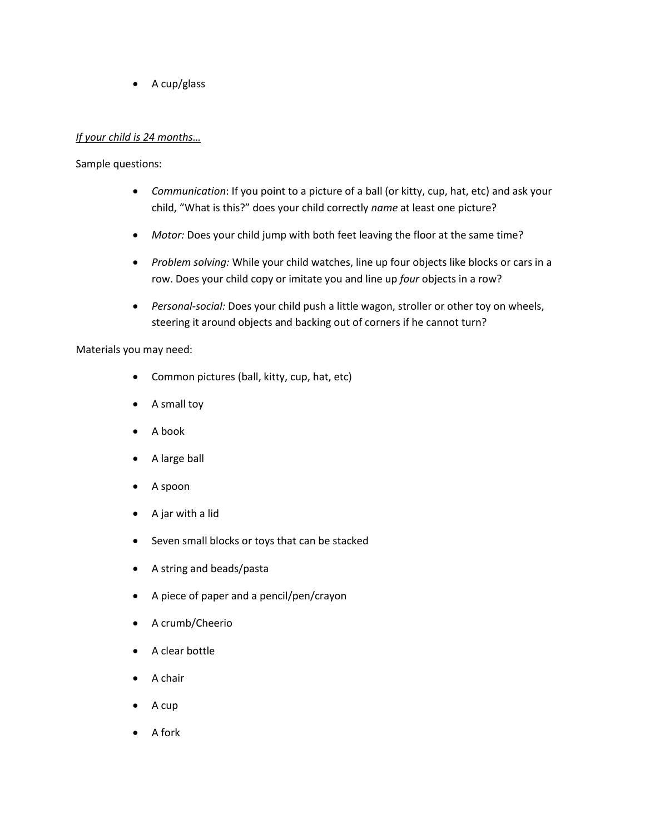$\bullet$  A cup/glass

#### *If your child is 24 months…*

Sample questions:

- *Communication*: If you point to a picture of a ball (or kitty, cup, hat, etc) and ask your child, "What is this?" does your child correctly *name* at least one picture?
- *Motor:* Does your child jump with both feet leaving the floor at the same time?
- *Problem solving:* While your child watches, line up four objects like blocks or cars in a row. Does your child copy or imitate you and line up *four* objects in a row?
- *Personal-social:* Does your child push a little wagon, stroller or other toy on wheels, steering it around objects and backing out of corners if he cannot turn?

- Common pictures (ball, kitty, cup, hat, etc)
- A small toy
- A book
- A large ball
- A spoon
- A jar with a lid
- Seven small blocks or toys that can be stacked
- A string and beads/pasta
- A piece of paper and a pencil/pen/crayon
- A crumb/Cheerio
- A clear bottle
- A chair
- A cup
- A fork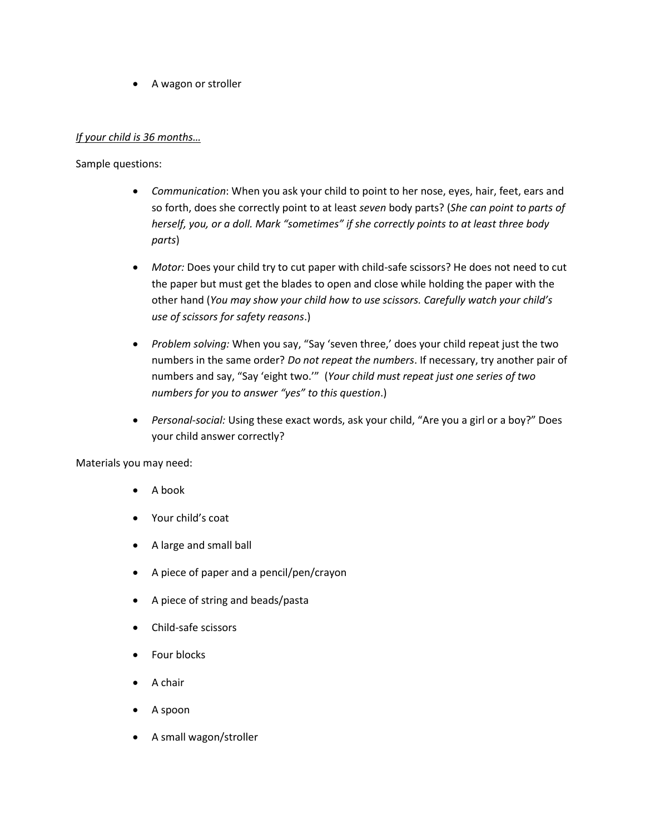A wagon or stroller

#### *If your child is 36 months…*

#### Sample questions:

- *Communication*: When you ask your child to point to her nose, eyes, hair, feet, ears and so forth, does she correctly point to at least *seven* body parts? (*She can point to parts of herself, you, or a doll. Mark "sometimes" if she correctly points to at least three body parts*)
- *Motor:* Does your child try to cut paper with child-safe scissors? He does not need to cut the paper but must get the blades to open and close while holding the paper with the other hand (*You may show your child how to use scissors. Carefully watch your child's use of scissors for safety reasons*.)
- *Problem solving:* When you say, "Say 'seven three,' does your child repeat just the two numbers in the same order? *Do not repeat the numbers*. If necessary, try another pair of numbers and say, "Say 'eight two.'" (*Your child must repeat just one series of two numbers for you to answer "yes" to this question*.)
- *Personal-social:* Using these exact words, ask your child, "Are you a girl or a boy?" Does your child answer correctly?

- A book
- Your child's coat
- A large and small ball
- A piece of paper and a pencil/pen/crayon
- A piece of string and beads/pasta
- Child-safe scissors
- Four blocks
- A chair
- A spoon
- A small wagon/stroller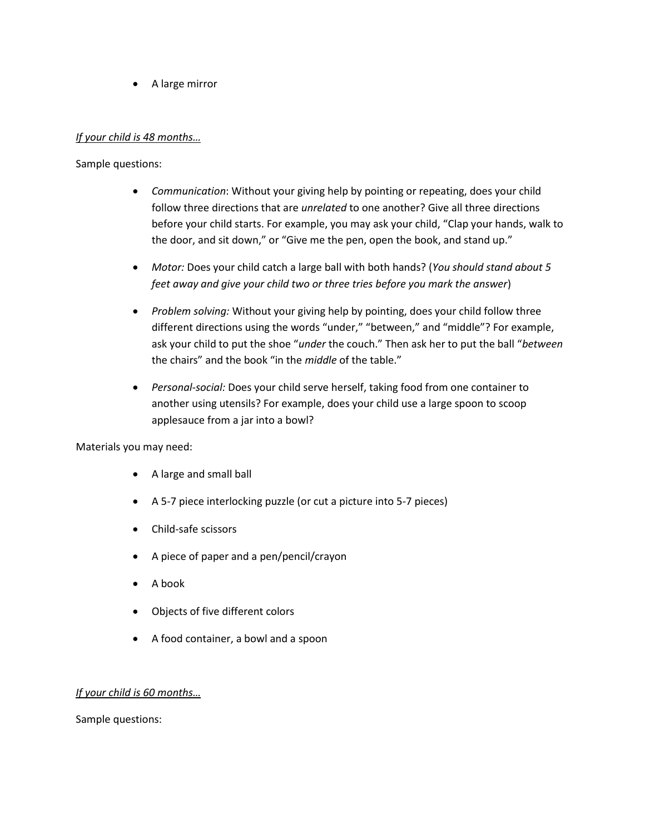A large mirror

#### *If your child is 48 months…*

Sample questions:

- *Communication*: Without your giving help by pointing or repeating, does your child follow three directions that are *unrelated* to one another? Give all three directions before your child starts. For example, you may ask your child, "Clap your hands, walk to the door, and sit down," or "Give me the pen, open the book, and stand up."
- *Motor:* Does your child catch a large ball with both hands? (*You should stand about 5 feet away and give your child two or three tries before you mark the answer*)
- *Problem solving:* Without your giving help by pointing, does your child follow three different directions using the words "under," "between," and "middle"? For example, ask your child to put the shoe "*under* the couch." Then ask her to put the ball "*between* the chairs" and the book "in the *middle* of the table."
- *Personal-social:* Does your child serve herself, taking food from one container to another using utensils? For example, does your child use a large spoon to scoop applesauce from a jar into a bowl?

Materials you may need:

- A large and small ball
- A 5-7 piece interlocking puzzle (or cut a picture into 5-7 pieces)
- Child-safe scissors
- A piece of paper and a pen/pencil/crayon
- A book
- Objects of five different colors
- A food container, a bowl and a spoon

#### *If your child is 60 months…*

Sample questions: